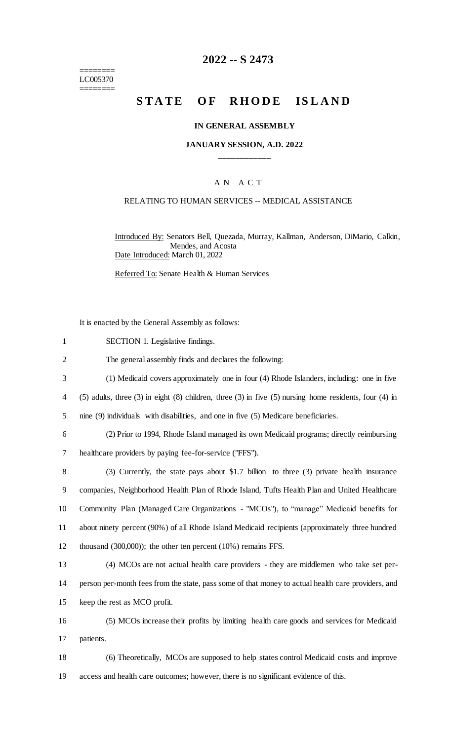======== LC005370 ========

# **2022 -- S 2473**

# **STATE OF RHODE ISLAND**

#### **IN GENERAL ASSEMBLY**

### **JANUARY SESSION, A.D. 2022 \_\_\_\_\_\_\_\_\_\_\_\_**

### A N A C T

### RELATING TO HUMAN SERVICES -- MEDICAL ASSISTANCE

Introduced By: Senators Bell, Quezada, Murray, Kallman, Anderson, DiMario, Calkin, Mendes, and Acosta Date Introduced: March 01, 2022

Referred To: Senate Health & Human Services

It is enacted by the General Assembly as follows:

- 1 SECTION 1. Legislative findings.
- 2 The general assembly finds and declares the following:
- 3 (1) Medicaid covers approximately one in four (4) Rhode Islanders, including: one in five
- 4 (5) adults, three (3) in eight (8) children, three (3) in five (5) nursing home residents, four (4) in
- 5 nine (9) individuals with disabilities, and one in five (5) Medicare beneficiaries.

6 (2) Prior to 1994, Rhode Island managed its own Medicaid programs; directly reimbursing

7 healthcare providers by paying fee-for-service ("FFS").

 (3) Currently, the state pays about \$1.7 billion to three (3) private health insurance companies, Neighborhood Health Plan of Rhode Island, Tufts Health Plan and United Healthcare Community Plan (Managed Care Organizations - "MCOs"), to "manage" Medicaid benefits for about ninety percent (90%) of all Rhode Island Medicaid recipients (approximately three hundred thousand (300,000)); the other ten percent (10%) remains FFS.

13 (4) MCOs are not actual health care providers - they are middlemen who take set per-14 person per-month fees from the state, pass some of that money to actual health care providers, and 15 keep the rest as MCO profit.

16 (5) MCOs increase their profits by limiting health care goods and services for Medicaid 17 patients.

18 (6) Theoretically, MCOs are supposed to help states control Medicaid costs and improve 19 access and health care outcomes; however, there is no significant evidence of this.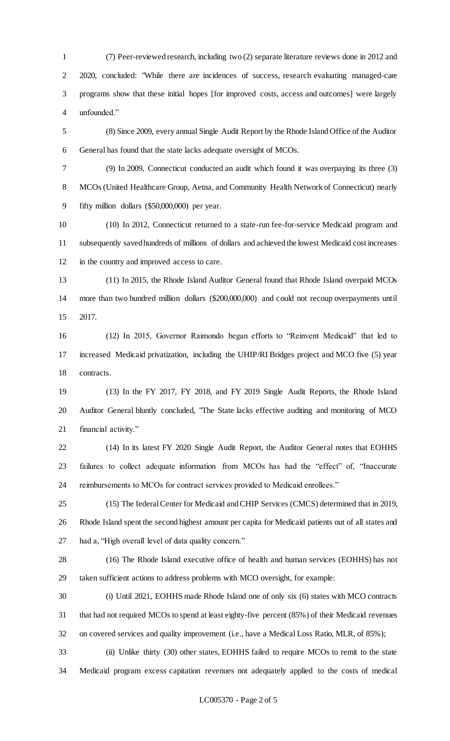(7) Peer-reviewed research, including two (2) separate literature reviews done in 2012 and 2020, concluded: "While there are incidences of success, research evaluating managed-care programs show that these initial hopes [for improved costs, access and outcomes] were largely unfounded."

 (8) Since 2009, every annual Single Audit Report by the Rhode Island Office of the Auditor General has found that the state lacks adequate oversight of MCOs.

 (9) In 2009, Connecticut conducted an audit which found it was overpaying its three (3) MCOs (United Healthcare Group, Aetna, and Community Health Network of Connecticut) nearly fifty million dollars (\$50,000,000) per year.

 (10) In 2012, Connecticut returned to a state-run fee-for-service Medicaid program and subsequently saved hundreds of millions of dollars and achieved the lowest Medicaid cost increases in the country and improved access to care.

 (11) In 2015, the Rhode Island Auditor General found that Rhode Island overpaid MCOs more than two hundred million dollars (\$200,000,000) and could not recoup overpayments until 2017.

 (12) In 2015, Governor Raimondo began efforts to "Reinvent Medicaid" that led to increased Medicaid privatization, including the UHIP/RI Bridges project and MCO five (5) year contracts.

 (13) In the FY 2017, FY 2018, and FY 2019 Single Audit Reports, the Rhode Island Auditor General bluntly concluded, "The State lacks effective auditing and monitoring of MCO financial activity."

 (14) In its latest FY 2020 Single Audit Report, the Auditor General notes that EOHHS failures to collect adequate information from MCOs has had the "effect" of, "Inaccurate reimbursements to MCOs for contract services provided to Medicaid enrollees."

 (15) The federal Center for Medicaid and CHIP Services (CMCS) determined that in 2019, Rhode Island spent the second highest amount per capita for Medicaid patients out of all states and had a, "High overall level of data quality concern."

 (16) The Rhode Island executive office of health and human services (EOHHS) has not taken sufficient actions to address problems with MCO oversight, for example:

 (i) Until 2021, EOHHS made Rhode Island one of only six (6) states with MCO contracts that had not required MCOs to spend at least eighty-five percent (85%) of their Medicaid revenues on covered services and quality improvement (i.e., have a Medical Loss Ratio, MLR, of 85%);

 (ii) Unlike thirty (30) other states, EOHHS failed to require MCOs to remit to the state Medicaid program excess capitation revenues not adequately applied to the costs of medical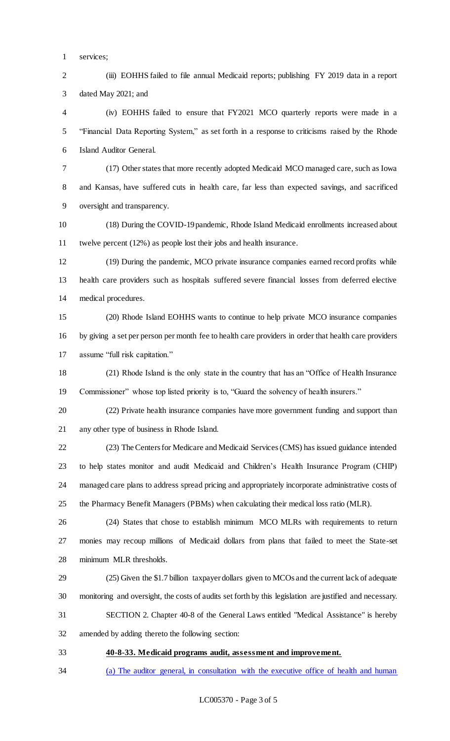- services;
- 2 (iii) EOHHS failed to file annual Medicaid reports; publishing FY 2019 data in a report dated May 2021; and

 (iv) EOHHS failed to ensure that FY2021 MCO quarterly reports were made in a "Financial Data Reporting System," as set forth in a response to criticisms raised by the Rhode Island Auditor General.

- (17) Other states that more recently adopted Medicaid MCO managed care, such as Iowa and Kansas, have suffered cuts in health care, far less than expected savings, and sacrificed oversight and transparency.
- (18) During the COVID-19 pandemic, Rhode Island Medicaid enrollments increased about twelve percent (12%) as people lost their jobs and health insurance.
- (19) During the pandemic, MCO private insurance companies earned record profits while health care providers such as hospitals suffered severe financial losses from deferred elective medical procedures.
- (20) Rhode Island EOHHS wants to continue to help private MCO insurance companies by giving a set per person per month fee to health care providers in order that health care providers assume "full risk capitation."
- (21) Rhode Island is the only state in the country that has an "Office of Health Insurance Commissioner" whose top listed priority is to, "Guard the solvency of health insurers."
- (22) Private health insurance companies have more government funding and support than any other type of business in Rhode Island.
- (23) The Centers for Medicare and Medicaid Services (CMS) has issued guidance intended to help states monitor and audit Medicaid and Children's Health Insurance Program (CHIP) managed care plans to address spread pricing and appropriately incorporate administrative costs of the Pharmacy Benefit Managers (PBMs) when calculating their medical loss ratio (MLR).
- (24) States that chose to establish minimum MCO MLRs with requirements to return monies may recoup millions of Medicaid dollars from plans that failed to meet the State-set minimum MLR thresholds.
- (25) Given the \$1.7 billion taxpayer dollars given to MCOs and the current lack of adequate monitoring and oversight, the costs of audits set forth by this legislation are justified and necessary.
- SECTION 2. Chapter 40-8 of the General Laws entitled "Medical Assistance" is hereby
- amended by adding thereto the following section:
- 

# **40-8-33. Medicaid programs audit, assessment and improvement.**

(a) The auditor general, in consultation with the executive office of health and human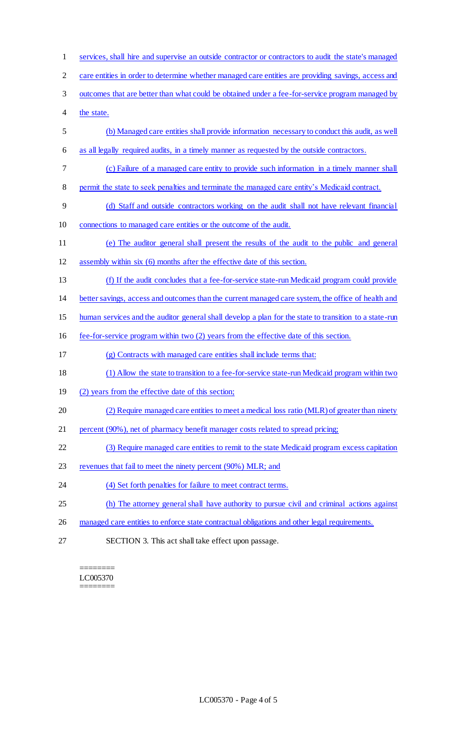services, shall hire and supervise an outside contractor or contractors to audit the state's managed care entities in order to determine whether managed care entities are providing savings, access and outcomes that are better than what could be obtained under a fee-for-service program managed by the state. (b) Managed care entities shall provide information necessary to conduct this audit, as well as all legally required audits, in a timely manner as requested by the outside contractors. (c) Failure of a managed care entity to provide such information in a timely manner shall 8 permit the state to seek penalties and terminate the managed care entity's Medicaid contract. (d) Staff and outside contractors working on the audit shall not have relevant financial connections to managed care entities or the outcome of the audit. (e) The auditor general shall present the results of the audit to the public and general assembly within six (6) months after the effective date of this section. (f) If the audit concludes that a fee-for-service state-run Medicaid program could provide better savings, access and outcomes than the current managed care system, the office of health and 15 human services and the auditor general shall develop a plan for the state to transition to a state-run fee-for-service program within two (2) years from the effective date of this section. (g) Contracts with managed care entities shall include terms that: (1) Allow the state to transition to a fee-for-service state-run Medicaid program within two (2) years from the effective date of this section; (2) Require managed care entities to meet a medical loss ratio (MLR) of greater than ninety percent (90%), net of pharmacy benefit manager costs related to spread pricing; (3) Require managed care entities to remit to the state Medicaid program excess capitation 23 revenues that fail to meet the ninety percent (90%) MLR; and 24 (4) Set forth penalties for failure to meet contract terms. (h) The attorney general shall have authority to pursue civil and criminal actions against managed care entities to enforce state contractual obligations and other legal requirements. SECTION 3. This act shall take effect upon passage.

======== LC005370 ========